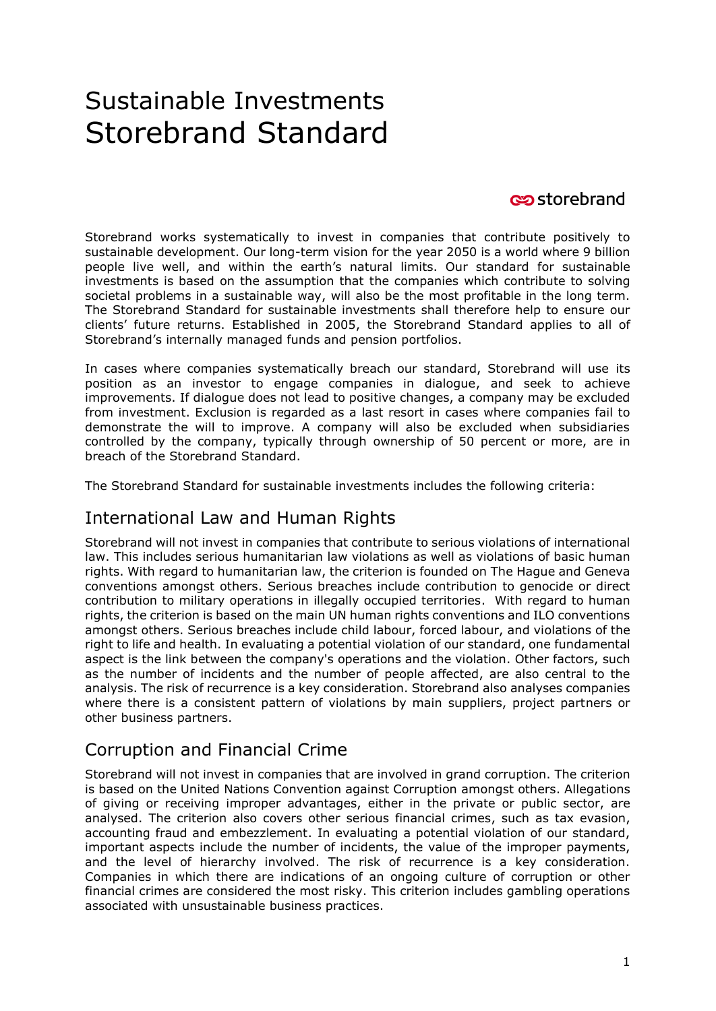# Sustainable Investments Storebrand Standard

#### **c**ostorebrand

Storebrand works systematically to invest in companies that contribute positively to sustainable development. Our long-term vision for the year 2050 is a world where 9 billion people live well, and within the earth's natural limits. Our standard for sustainable investments is based on the assumption that the companies which contribute to solving societal problems in a sustainable way, will also be the most profitable in the long term. The Storebrand Standard for sustainable investments shall therefore help to ensure our clients' future returns. Established in 2005, the Storebrand Standard applies to all of Storebrand's internally managed funds and pension portfolios.

In cases where companies systematically breach our standard, Storebrand will use its position as an investor to engage companies in dialogue, and seek to achieve improvements. If dialogue does not lead to positive changes, a company may be excluded from investment. Exclusion is regarded as a last resort in cases where companies fail to demonstrate the will to improve. A company will also be excluded when subsidiaries controlled by the company, typically through ownership of 50 percent or more, are in breach of the Storebrand Standard.

The Storebrand Standard for sustainable investments includes the following criteria:

#### International Law and Human Rights

Storebrand will not invest in companies that contribute to serious violations of international law. This includes serious humanitarian law violations as well as violations of basic human rights. With regard to humanitarian law, the criterion is founded on The Hague and Geneva conventions amongst others. Serious breaches include contribution to genocide or direct contribution to military operations in illegally occupied territories. With regard to human rights, the criterion is based on the main UN human rights conventions and ILO conventions amongst others. Serious breaches include child labour, forced labour, and violations of the right to life and health. In evaluating a potential violation of our standard, one fundamental aspect is the link between the company's operations and the violation. Other factors, such as the number of incidents and the number of people affected, are also central to the analysis. The risk of recurrence is a key consideration. Storebrand also analyses companies where there is a consistent pattern of violations by main suppliers, project partners or other business partners.

## Corruption and Financial Crime

Storebrand will not invest in companies that are involved in grand corruption. The criterion is based on the United Nations Convention against Corruption amongst others. Allegations of giving or receiving improper advantages, either in the private or public sector, are analysed. The criterion also covers other serious financial crimes, such as tax evasion, accounting fraud and embezzlement. In evaluating a potential violation of our standard, important aspects include the number of incidents, the value of the improper payments, and the level of hierarchy involved. The risk of recurrence is a key consideration. Companies in which there are indications of an ongoing culture of corruption or other financial crimes are considered the most risky. This criterion includes gambling operations associated with unsustainable business practices.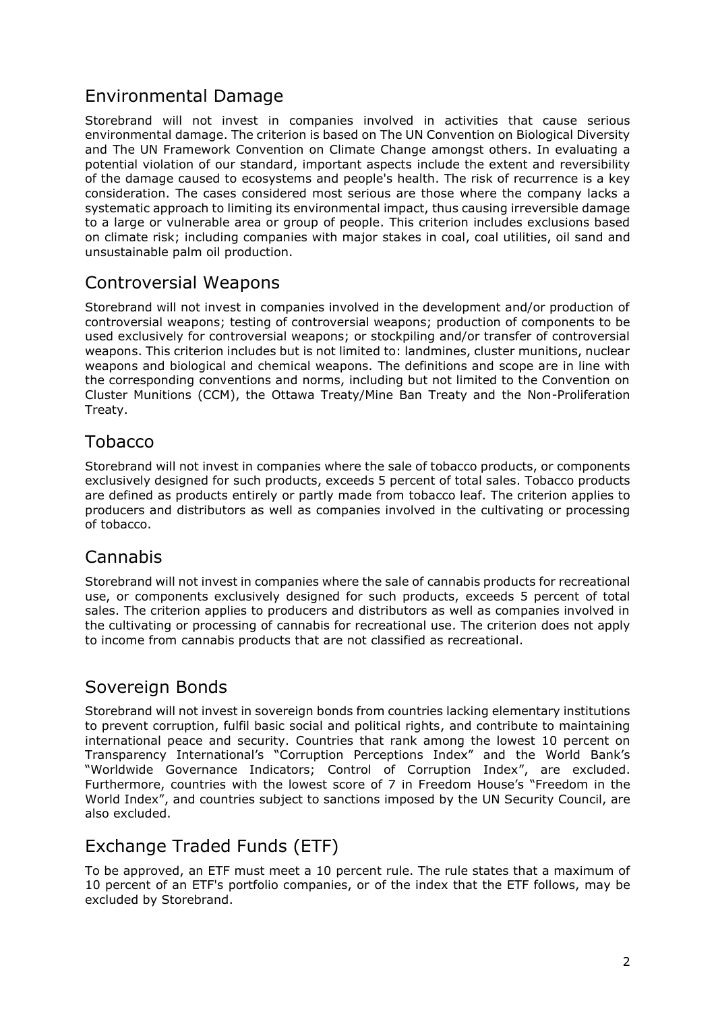## Environmental Damage

Storebrand will not invest in companies involved in activities that cause serious environmental damage. The criterion is based on The UN Convention on Biological Diversity and The UN Framework Convention on Climate Change amongst others. In evaluating a potential violation of our standard, important aspects include the extent and reversibility of the damage caused to ecosystems and people's health. The risk of recurrence is a key consideration. The cases considered most serious are those where the company lacks a systematic approach to limiting its environmental impact, thus causing irreversible damage to a large or vulnerable area or group of people. This criterion includes exclusions based on climate risk; including companies with major stakes in coal, coal utilities, oil sand and unsustainable palm oil production.

#### Controversial Weapons

Storebrand will not invest in companies involved in the development and/or production of controversial weapons; testing of controversial weapons; production of components to be used exclusively for controversial weapons; or stockpiling and/or transfer of controversial weapons. This criterion includes but is not limited to: landmines, cluster munitions, nuclear weapons and biological and chemical weapons. The definitions and scope are in line with the corresponding conventions and norms, including but not limited to the Convention on Cluster Munitions (CCM), the Ottawa Treaty/Mine Ban Treaty and the Non-Proliferation Treaty.

#### Tobacco

Storebrand will not invest in companies where the sale of tobacco products, or components exclusively designed for such products, exceeds 5 percent of total sales. Tobacco products are defined as products entirely or partly made from tobacco leaf. The criterion applies to producers and distributors as well as companies involved in the cultivating or processing of tobacco.

#### Cannabis

Storebrand will not invest in companies where the sale of cannabis products for recreational use, or components exclusively designed for such products, exceeds 5 percent of total sales. The criterion applies to producers and distributors as well as companies involved in the cultivating or processing of cannabis for recreational use. The criterion does not apply to income from cannabis products that are not classified as recreational.

#### Sovereign Bonds

Storebrand will not invest in sovereign bonds from countries lacking elementary institutions to prevent corruption, fulfil basic social and political rights, and contribute to maintaining international peace and security. Countries that rank among the lowest 10 percent on Transparency International's "Corruption Perceptions Index" and the World Bank's "Worldwide Governance Indicators; Control of Corruption Index", are excluded. Furthermore, countries with the lowest score of 7 in Freedom House's "Freedom in the World Index", and countries subject to sanctions imposed by the UN Security Council, are also excluded.

## Exchange Traded Funds (ETF)

To be approved, an ETF must meet a 10 percent rule. The rule states that a maximum of 10 percent of an ETF's portfolio companies, or of the index that the ETF follows, may be excluded by Storebrand.